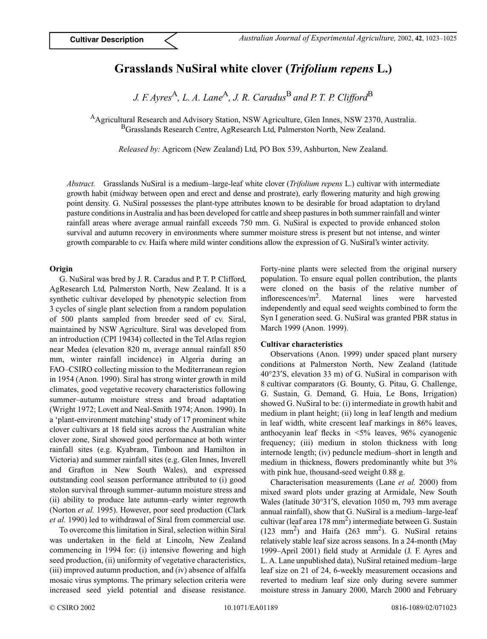# **Grasslands NuSiral white clover (***Trifolium repens* **L.)**

*J. F. Ayres*A*, L. A. Lane*A*, J. R. Caradus*B *and P. T. P. Clifford*<sup>B</sup>

AAgricultural Research and Advisory Station, NSW Agriculture, Glen Innes, NSW 2370, Australia. BGrasslands Research Centre, AgResearch Ltd, Palmerston North, New Zealand.

*Released by:* Agricom (New Zealand) Ltd, PO Box 539, Ashburton, New Zealand.

*Abstract.* Grasslands NuSiral is a medium–large-leaf white clover (*Trifolium repens* L.) cultivar with intermediate growth habit (midway between open and erect and dense and prostrate), early flowering maturity and high growing point density. G. NuSiral possesses the plant-type attributes known to be desirable for broad adaptation to dryland pasture conditions in Australia and has been developed for cattle and sheep pastures in both summer rainfall and winter rainfall areas where average annual rainfall exceeds 750 mm. G. NuSiral is expected to provide enhanced stolon survival and autumn recovery in environments where summer moisture stress is present but not intense, and winter growth comparable to cv. Haifa where mild winter conditions allow the expression of G. NuSiral's winter activity.

## **Origin**

G. NuSiral was bred by J. R. Caradus and P. T. P. Clifford, AgResearch Ltd, Palmerston North, New Zealand. It is a synthetic cultivar developed by phenotypic selection from 3 cycles of single plant selection from a random population of 500 plants sampled from breeder seed of cv. Siral, maintained by NSW Agriculture. Siral was developed from an introduction (CPI 19434) collected in the Tel Atlas region near Medea (elevation 820 m, average annual rainfall 850 mm, winter rainfall incidence) in Algeria during an FAO–CSIRO collecting mission to the Mediterranean region in 1954 (Anon. 1990). Siral has strong winter growth in mild climates, good vegetative recovery characteristics following summer–autumn moisture stress and broad adaptation (Wright 1972; Lovett and Neal-Smith 1974; Anon. 1990). In a 'plant-environment matching' study of 17 prominent white clover cultivars at 18 field sites across the Australian white clover zone, Siral showed good performance at both winter rainfall sites (e.g. Kyabram, Timboon and Hamilton in Victoria) and summer rainfall sites (e.g. Glen Innes, Inverell and Grafton in New South Wales), and expressed outstanding cool season performance attributed to (i) good stolon survival through summer–autumn moisture stress and (ii) ability to produce late autumn–early winter regrowth (Norton *et al.* 1995). However, poor seed production (Clark *et al.* 1990) led to withdrawal of Siral from commercial use.

To overcome this limitation in Siral, selection within Siral was undertaken in the field at Lincoln, New Zealand commencing in 1994 for: (i) intensive flowering and high seed production, (ii) uniformity of vegetative characteristics, (iii) improved autumn production, and (iv) absence of alfalfa mosaic virus symptoms. The primary selection criteria were increased seed yield potential and disease resistance. Forty-nine plants were selected from the original nursery population. To ensure equal pollen contribution, the plants were cloned on the basis of the relative number of inflorescences/m2. Maternal lines were harvested independently and equal seed weights combined to form the Syn I generation seed. G. NuSiral was granted PBR status in March 1999 (Anon. 1999).

# **Cultivar characteristics**

Observations (Anon. 1999) under spaced plant nursery conditions at Palmerston North, New Zealand (latitude 40°23′S, elevation 33 m) of G. NuSiral in comparison with 8 cultivar comparators (G. Bounty, G. Pitau, G. Challenge, G. Sustain, G. Demand, G. Huia, Le Bons, Irrigation) showed G. NuSiral to be: (i) intermediate in growth habit and medium in plant height; (ii) long in leaf length and medium in leaf width, white crescent leaf markings in 86% leaves, anthocyanin leaf flecks in <5% leaves, 96% cyanogenic frequency; (iii) medium in stolon thickness with long internode length; (iv) peduncle medium–short in length and medium in thickness, flowers predominantly white but 3% with pink hue, thousand-seed weight 0.88 g.

Characterisation measurements (Lane *et al.* 2000) from mixed sward plots under grazing at Armidale, New South Wales (latitude 30°31′S, elevation 1050 m, 793 mm average annual rainfall), show that G. NuSiral is a medium–large-leaf cultivar (leaf area  $178 \text{ mm}^2$ ) intermediate between G. Sustain  $(123 \text{ mm}^2)$  and Haifa  $(263 \text{ mm}^2)$ . G. NuSiral retains relatively stable leaf size across seasons. In a 24-month (May 1999–April 2001) field study at Armidale (J. F. Ayres and L. A. Lane unpublished data), NuSiral retained medium–large leaf size on 21 of 24, 6-weekly measurement occasions and reverted to medium leaf size only during severe summer moisture stress in January 2000, March 2000 and February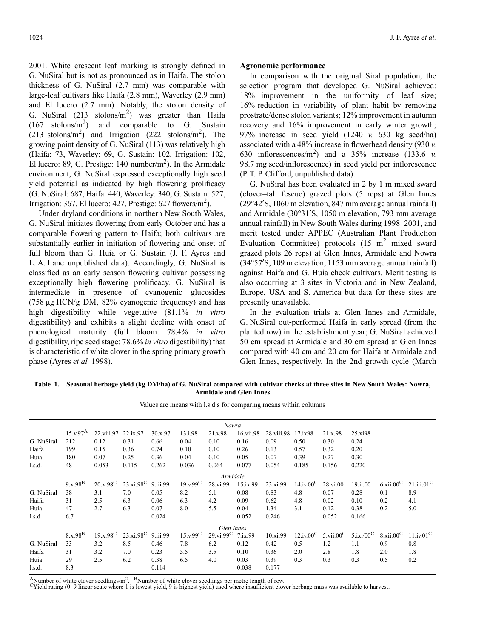2001. White crescent leaf marking is strongly defined in G. NuSiral but is not as pronounced as in Haifa. The stolon thickness of G. NuSiral (2.7 mm) was comparable with large-leaf cultivars like Haifa (2.8 mm), Waverley (2.9 mm) and El lucero (2.7 mm). Notably, the stolon density of G. NuSiral  $(213 \text{ stolons/m}^2)$  was greater than Haifa  $(167 \text{ stolons/m}^2)$  and comparable to G. Sustain  $(213 \text{ stolons/m}^2)$  and Irrigation  $(222 \text{ stolons/m}^2)$ . The growing point density of G. NuSiral (113) was relatively high (Haifa: 73, Waverley: 69, G. Sustain: 102, Irrigation: 102, El lucero: 89, G. Prestige: 140 number/ $m<sup>2</sup>$ ). In the Armidale environment, G. NuSiral expressed exceptionally high seed yield potential as indicated by high flowering prolificacy (G. NuSiral: 687, Haifa: 440, Waverley: 340, G. Sustain: 527, Irrigation: 367, El lucero: 427, Prestige: 627 flowers/ $m^2$ ).

Under dryland conditions in northern New South Wales, G. NuSiral initiates flowering from early October and has a comparable flowering pattern to Haifa; both cultivars are substantially earlier in initiation of flowering and onset of full bloom than G. Huia or G. Sustain (J. F. Ayres and L. A. Lane unpublished data). Accordingly, G. NuSiral is classified as an early season flowering cultivar possessing exceptionally high flowering prolificacy. G. NuSiral is intermediate in presence of cyanogenic glucosides (758 µg HCN/g DM, 82% cyanogenic frequency) and has high digestibility while vegetative (81.1% *in vitro* digestibility) and exhibits a slight decline with onset of phenological maturity (full bloom: 78.4% *in vitro* digestibility, ripe seed stage: 78.6% *in vitro* digestibility) that is characteristic of white clover in the spring primary growth phase (Ayres *et al.* 1998).

#### **Agronomic performance**

In comparison with the original Siral population, the selection program that developed G. NuSiral achieved: 18% improvement in the uniformity of leaf size; 16% reduction in variability of plant habit by removing prostrate/dense stolon variants; 12% improvement in autumn recovery and 16% improvement in early winter growth; 97% increase in seed yield (1240 *v.* 630 kg seed/ha) associated with a 48% increase in flowerhead density (930 *v.* 630 inflorescences/m<sup>2</sup>) and a 35% increase (133.6  $\nu$ ) 98.7 mg seed/inflorescence) in seed yield per inflorescence (P. T. P. Clifford, unpublished data).

G. NuSiral has been evaluated in 2 by 1 m mixed sward (clover–tall fescue) grazed plots (5 reps) at Glen Innes (29°42′S, 1060 m elevation, 847 mm average annual rainfall) and Armidale (30°31′S, 1050 m elevation, 793 mm average annual rainfall) in New South Wales during 1998–2001, and merit tested under APPEC (Australian Plant Production Evaluation Committee) protocols  $(15 \text{ m}^2 \text{ mixed sward})$ grazed plots 26 reps) at Glen Innes, Armidale and Nowra (34°57′S, 109 m elevation, 1153 mm average annual rainfall) against Haifa and G. Huia check cultivars. Merit testing is also occurring at 3 sites in Victoria and in New Zealand, Europe, USA and S. America but data for these sites are presently unavailable.

In the evaluation trials at Glen Innes and Armidale, G. NuSiral out-performed Haifa in early spread (from the planted row) in the establishment year; G. NuSiral achieved 50 cm spread at Armidale and 30 cm spread at Glen Innes compared with 40 cm and 20 cm for Haifa at Armidale and Glen Innes, respectively. In the 2nd growth cycle (March

**Table 1. Seasonal herbage yield (kg DM/ha) of G. NuSiral compared with cultivar checks at three sites in New South Wales: Nowra, Armidale and Glen Innes**

| Nowra      |                     |                     |                                   |         |              |                                       |           |                        |                                 |                                                                      |          |                                              |     |  |
|------------|---------------------|---------------------|-----------------------------------|---------|--------------|---------------------------------------|-----------|------------------------|---------------------------------|----------------------------------------------------------------------|----------|----------------------------------------------|-----|--|
|            | $15.x.97^A$         | 22.viii.97 22.ix.97 |                                   | 30.x.97 | 13.i.98      | 21.v.98                               | 16.vii.98 | 28. viii. 98 17. ix 98 |                                 | 21.x.98                                                              | 25.xi98  |                                              |     |  |
| G. NuSiral | 212                 | 0.12                | 0.31                              | 0.66    | 0.04         | 0.10                                  | 0.16      | 0.09                   | 0.50                            | 0.30                                                                 | 0.24     |                                              |     |  |
| Haifa      | 199                 | 0.15                | 0.36                              | 0.74    | 0.10         | 0.10                                  | 0.26      | 0.13                   | 0.57                            | 0.32                                                                 | 0.20     |                                              |     |  |
| Huia       | 180                 | 0.07                | 0.25                              | 0.36    | 0.04         | 0.10                                  | 0.05      | 0.07                   | 0.39                            | 0.27                                                                 | 0.30     |                                              |     |  |
| $1$ .s.d.  | 48                  | 0.053               | 0.115                             | 0.262   | 0.036        | 0.064                                 | 0.077     | 0.054                  | 0.185                           | 0.156                                                                | 0.220    |                                              |     |  |
|            | Armidale            |                     |                                   |         |              |                                       |           |                        |                                 |                                                                      |          |                                              |     |  |
|            | $9.x.98^B$          |                     | $20.x.98^C$ $23.xi.98^C$ 9.iii.99 |         | $19. v.99^C$ | 28.vi.99                              | 15.ix.99  | 23.xi.99               | $14$ .iv. $00^{\circ}$ 28.vi.00 |                                                                      | 19.ii.00 | 6.xii.00 <sup>C</sup> 21.iii.01 <sup>C</sup> |     |  |
| G. NuSiral | 38                  | 3.1                 | 7.0                               | 0.05    | 8.2          | 5.1                                   | 0.08      | 0.83                   | 4.8                             | 0.07                                                                 | 0.28     | 0.1                                          | 8.9 |  |
| Haifa      | 31                  | 2.5                 | 6.3                               | 0.06    | 6.3          | 4.2                                   | 0.09      | 0.62                   | 4.8                             | 0.02                                                                 | 0.10     | 0.2                                          | 4.1 |  |
| Huia       | 47                  | 2.7                 | 6.3                               | 0.07    | 8.0          | 5.5                                   | 0.04      | 1.34                   | 3.1                             | 0.12                                                                 | 0.38     | 0.2                                          | 5.0 |  |
| l.s.d.     | 6.7                 |                     |                                   | 0.024   |              |                                       | 0.052     | 0.246                  |                                 | 0.052                                                                | 0.166    |                                              |     |  |
| Glen Innes |                     |                     |                                   |         |              |                                       |           |                        |                                 |                                                                      |          |                                              |     |  |
|            | 8.x.98 <sup>B</sup> | $19.x.98^C$         | $23.xi.98^C$ 9.iii.99             |         | $15.x.99^C$  | $29. \text{vi.}99^{\text{C}}$ 7.ix.99 |           | 10.xi.99               |                                 | $12$ .iv.00 <sup>C</sup> 5.vii.00 <sup>C</sup> 5.ix./00 <sup>C</sup> |          | 8.xii.00 <sup>C</sup> 11.iv.01 <sup>C</sup>  |     |  |
| G. NuSiral | 33                  | 3.2                 | 8.5                               | 0.46    | 7.8          | 6.2                                   | 0.12      | 0.42                   | 0.5                             | 1.2                                                                  | 1.1      | 0.9                                          | 0.8 |  |
| Haifa      | 31                  | 3.2                 | 7.0                               | 0.23    | 5.5          | 3.5                                   | 0.10      | 0.36                   | 2.0                             | 2.8                                                                  | 1.8      | 2.0                                          | 1.8 |  |
| Huia       | 29                  | 2.5                 | 6.2                               | 0.38    | 6.5          | 4.0                                   | 0.03      | 0.39                   | 0.3                             | 0.3                                                                  | 0.3      | 0.5                                          | 0.2 |  |
| l.s.d.     | 8.3                 |                     |                                   | 0.114   |              |                                       | 0.038     | 0.177                  |                                 |                                                                      |          |                                              |     |  |
|            |                     |                     |                                   |         |              |                                       |           |                        |                                 |                                                                      |          |                                              |     |  |

Values are means with l.s.d.s for comparing means within columns

A Number of white clover seedlings/m<sup>2</sup>. <sup>B</sup> Number of white clover seedlings per metre length of row.<br><sup>C</sup> Yield rating (0–9 linear scale where 1 is lowest yield, 9 is highest yield) used where insufficient clover herbage